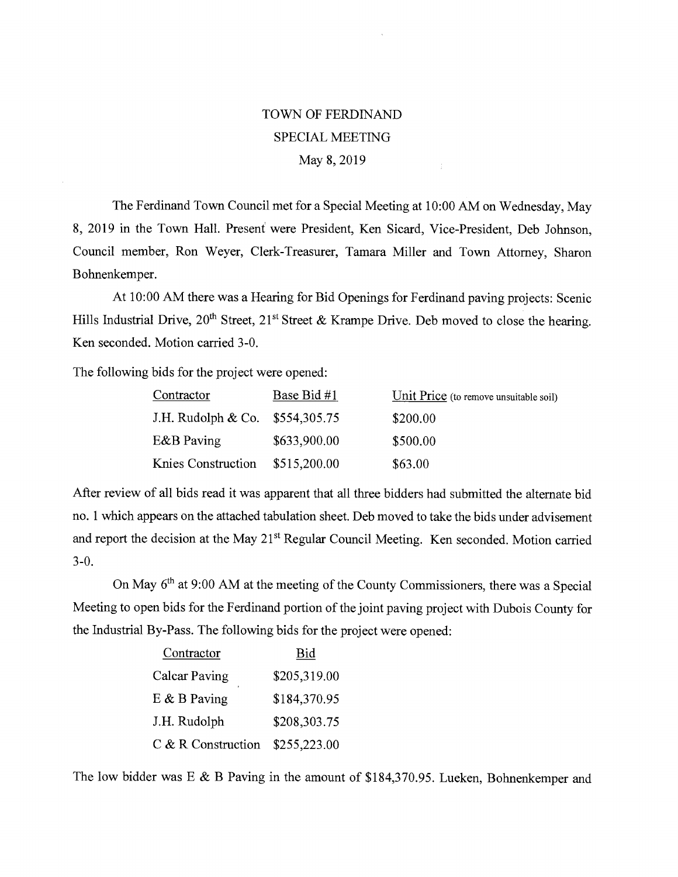## TOWN OF FERDINAND SPECIAL MEETING May 8, 2019

The Ferdinand Town Council met for a Special Meeting at 10:00 AM on Wednesday, May 8, 2019 in the Town Hall. Present were President, Ken Sicard, Vice-President, Deb Johnson, Council member, Ron Weyer, Clerk-Treasurer, Tamara Miller and Town Attorney, Sharon Bohnenkemper.

At 10:00 AM there was a Hearing for Bid Openings for Ferdinand paving projects: Scenic Hills Industrial Drive,  $20^{th}$  Street,  $21^{st}$  Street & Krampe Drive. Deb moved to close the hearing. Ken seconded. Motion carried 3-0.

The following bids for the project were opened:

| Contractor                       | Base Bid #1  | Unit Price (to remove unsuitable soil) |
|----------------------------------|--------------|----------------------------------------|
| J.H. Rudolph & Co. $$554,305.75$ |              | \$200.00                               |
| E&B Paving                       | \$633,900.00 | \$500.00                               |
| Knies Construction               | \$515,200.00 | \$63.00                                |

After review of all bids read it was apparent that all three bidders had submitted the alternate bid no. 1 which appears on the attached tabulation sheet. Deb moved to take the bids under advisement and report the decision at the May 21<sup>st</sup> Regular Council Meeting. Ken seconded. Motion carried 3-0.

On May 6<sup>th</sup> at 9:00 AM at the meeting of the County Commissioners, there was a Special Meeting to open bids for the Ferdinand portion of the joint paving project with Dubois County for the Industrial By-Pass. The following bids for the project were opened:

| Contractor           | Bid          |
|----------------------|--------------|
| <b>Calcar Paving</b> | \$205,319.00 |
| $E$ & B Paving       | \$184,370.95 |
| J.H. Rudolph         | \$208,303.75 |
| C & R Construction   | \$255,223.00 |

The low bidder was E & B Paving in the amount of \$184,370.95. Lueken, Bohnenkemper and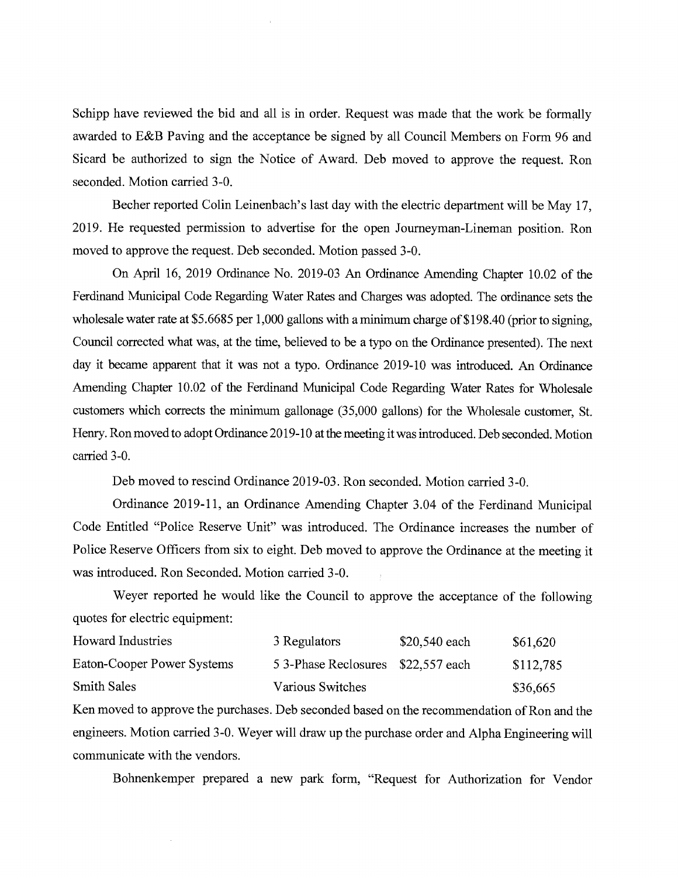Schipp have reviewed the bid and all is in order. Request was made that the work be formally awarded to E&B Paving and the acceptance be signed by all Council Members on Form 96 and Sicard be authorized to sign the Notice of Award. Deb moved to approve the request. Ron seconded. Motion carried 3-0.

Becher reported Colin Leinenbach's last day with the electric department will be May 17, 2019. He requested permission to advertise for the open Journeyman-Lineman position. Ron moved to approve the request. Deb seconded. Motion passed 3-0.

On April 16, 2019 Ordinance No. 2019-03 An Ordinance Amending Chapter 10.02 of the Ferdinand Municipal Code Regarding Water Rates and Charges was adopted. The ordinance sets the wholesale water rate at \$5.6685 per 1,000 gallons with a minimum charge of \$198.40 (prior to signing, Council corrected what was, at the time, believed to be a typo on the Ordinance presented). The next day it became apparent that it was not a typo. Ordinance 2019-10 was introduced. An Ordinance Amending Chapter 10.02 of the Ferdinand Municipal Code Regarding Water Rates for Wholesale customers which corrects the minimum gallonage (35,000 gallons) for the Wholesale customer, St. Henry. Ron moved to adopt Ordinance 2019-10 at the meeting it was introduced. Deb seconded. Motion carried 3-0.

Deb moved to rescind Ordinance 2019-03. Ron seconded. Motion carried 3-0.

Ordinance 2019-11, an Ordinance Amending Chapter 3.04 of the Ferdinand Municipal Code Entitled "Police Reserve Unit" was introduced. The Ordinance increases the number of Police Reserve Officers from six to eight. Deb moved to approve the Ordinance at the meeting it was introduced. Ron Seconded. Motion carried 3-0.

Weyer reported he would like the Council to approve the acceptance of the following quotes for electric equipment:

| <b>Howard Industries</b>   | 3 Regulators                      | \$20,540 each | \$61,620  |
|----------------------------|-----------------------------------|---------------|-----------|
| Eaton-Cooper Power Systems | 53-Phase Reclosures \$22,557 each |               | \$112,785 |
| <b>Smith Sales</b>         | Various Switches                  |               | \$36,665  |

Ken moved to approve the purchases. Deb seconded based on the recommendation of Ron and the engineers. Motion carried 3-0. Weyer will draw up the purchase order and Alpha Engineering will communicate with the vendors.

Bohnenkemper prepared a new park form, "Request for Authorization for Vendor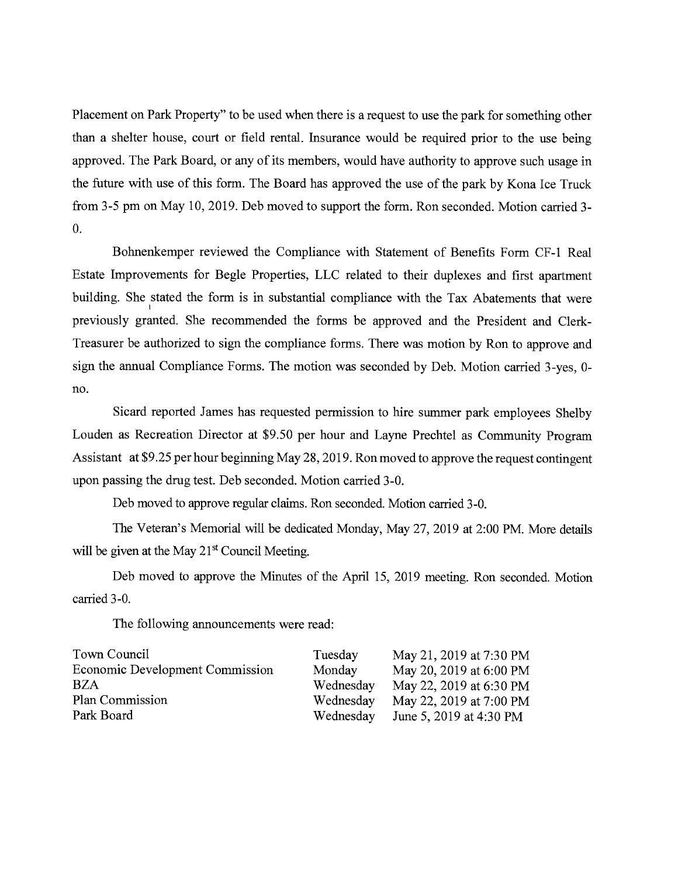Placement on Park Property" to be used when there is a request to use the park for something other than a shelter house, court or field rental. Insurance would be required prior to the use being approved. The Park Board, or any of its members, would have authority to approve such usage in the future with use of this form. The Board has approved the use of the park by Kona Ice Truck from 3-5 pm on May 10, 2019. Deb moved to support the form. Ron seconded. Motion carried 3- 0.

Bohnenkemper reviewed the Compliance with Statement of Benefits Form CF-1 Real Estate Improvements for Begle Properties, LLC related to their duplexes and first apartment building. She stated the form is in substantial compliance with the Tax Abatements that were previously granted. She recommended the forms be approved and the President and Clerk-Treasurer be authorized to sign the compliance forms. There was motion by Ron to approve and sign the annual Compliance Forms. The motion was seconded by Deb. Motion carried 3-yes, 0 no.

Sicard reported James has requested permission to hire summer park employees Shelby Louden as Recreation Director at \$9.50 per hour and Layne Prechtel as Community Program Assistant at \$9.25 per hour beginning May 28, 2019. Ron moved to approve the request contingent upon passing the drug test. Deb seconded. Motion carried 3-0.

Deb moved to approve regular claims. Ron seconded. Motion carried 3-0.

The Veteran's Memorial will be dedicated Monday, May 27, 2019 at 2:00 PM. More details will be given at the May 21<sup>st</sup> Council Meeting.

Deb moved to approve the Minutes of the April 15, 2019 meeting. Ron seconded. Motion carried 3-0.

The following announcements were read:

| Town Council                           | Tuesday   | May 21, 2019 at 7:30 PM |
|----------------------------------------|-----------|-------------------------|
| <b>Economic Development Commission</b> | Monday    | May 20, 2019 at 6:00 PM |
| <b>BZA</b>                             | Wednesday | May 22, 2019 at 6:30 PM |
| Plan Commission                        | Wednesday | May 22, 2019 at 7:00 PM |
| Park Board                             | Wednesday | June 5, 2019 at 4:30 PM |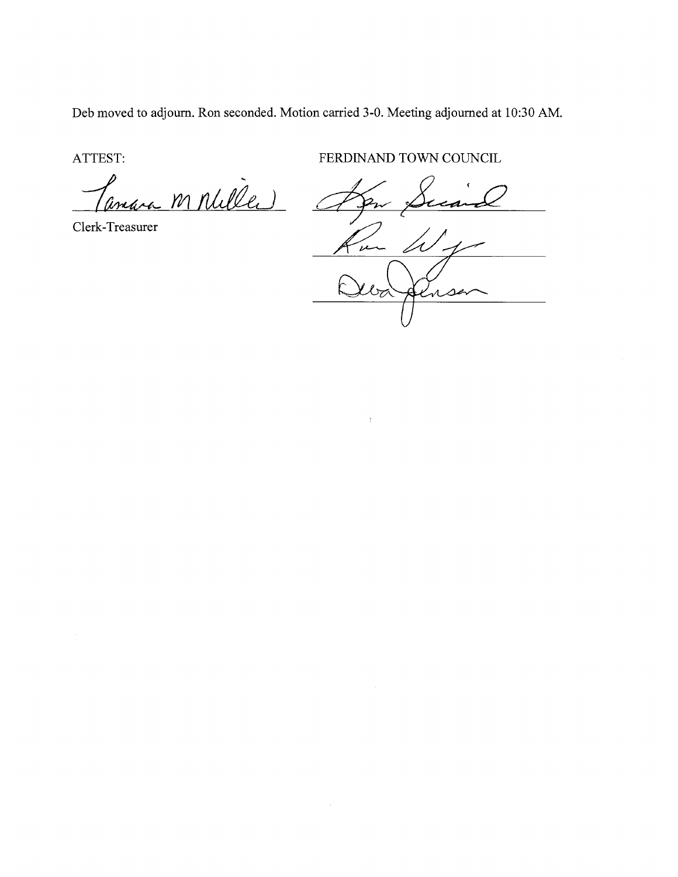Deb moved to adjourn. Ron seconded. Motion carried 3-0. Meeting adjourned at 10:30 AM.

ATTEST:

Panara M Nulles

Clerk-Treasurer

FERDINAND TOWN COUNCIL

 $\omega_{f}$ m  $\omega_{\alpha}$ Alnse

 $\mathfrak{f}$